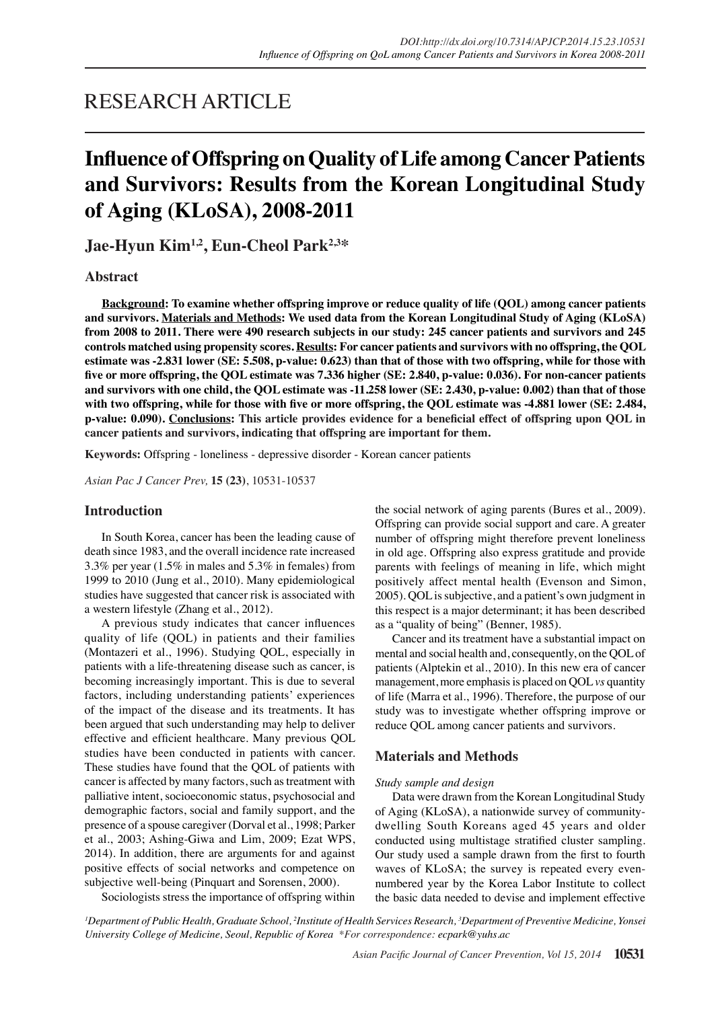## RESEARCH ARTICLE

# **Influence of Offspring on Quality of Life among Cancer Patients and Survivors: Results from the Korean Longitudinal Study of Aging (KLoSA), 2008-2011**

**Jae-Hyun Kim1,2, Eun-Cheol Park2,3\***

#### **Abstract**

**Background: To examine whether offspring improve or reduce quality of life (QOL) among cancer patients and survivors. Materials and Methods: We used data from the Korean Longitudinal Study of Aging (KLoSA) from 2008 to 2011. There were 490 research subjects in our study: 245 cancer patients and survivors and 245 controls matched using propensity scores. Results: For cancer patients and survivors with no offspring, the QOL estimate was -2.831 lower (SE: 5.508, p-value: 0.623) than that of those with two offspring, while for those with five or more offspring, the QOL estimate was 7.336 higher (SE: 2.840, p-value: 0.036). For non-cancer patients and survivors with one child, the QOL estimate was -11.258 lower (SE: 2.430, p-value: 0.002) than that of those with two offspring, while for those with five or more offspring, the QOL estimate was -4.881 lower (SE: 2.484, p-value: 0.090). Conclusions: This article provides evidence for a beneficial effect of offspring upon QOL in cancer patients and survivors, indicating that offspring are important for them.**

**Keywords:** Offspring - loneliness - depressive disorder - Korean cancer patients

*Asian Pac J Cancer Prev,* **15 (23)**, 10531-10537

#### **Introduction**

In South Korea, cancer has been the leading cause of death since 1983, and the overall incidence rate increased 3.3% per year (1.5% in males and 5.3% in females) from 1999 to 2010 (Jung et al., 2010). Many epidemiological studies have suggested that cancer risk is associated with a western lifestyle (Zhang et al., 2012).

A previous study indicates that cancer influences quality of life (QOL) in patients and their families (Montazeri et al., 1996). Studying QOL, especially in patients with a life-threatening disease such as cancer, is becoming increasingly important. This is due to several factors, including understanding patients' experiences of the impact of the disease and its treatments. It has been argued that such understanding may help to deliver effective and efficient healthcare. Many previous QOL studies have been conducted in patients with cancer. These studies have found that the QOL of patients with cancer is affected by many factors, such as treatment with palliative intent, socioeconomic status, psychosocial and demographic factors, social and family support, and the presence of a spouse caregiver (Dorval et al., 1998; Parker et al., 2003; Ashing-Giwa and Lim, 2009; Ezat WPS, 2014). In addition, there are arguments for and against positive effects of social networks and competence on subjective well-being (Pinquart and Sorensen, 2000).

the social network of aging parents (Bures et al., 2009). Offspring can provide social support and care. A greater number of offspring might therefore prevent loneliness in old age. Offspring also express gratitude and provide parents with feelings of meaning in life, which might positively affect mental health (Evenson and Simon, 2005). QOL is subjective, and a patient's own judgment in this respect is a major determinant; it has been described as a "quality of being" (Benner, 1985).

Cancer and its treatment have a substantial impact on mental and social health and, consequently, on the QOL of patients (Alptekin et al., 2010). In this new era of cancer management, more emphasis is placed on QOL *vs* quantity of life (Marra et al., 1996). Therefore, the purpose of our study was to investigate whether offspring improve or reduce QOL among cancer patients and survivors.

#### **Materials and Methods**

#### *Study sample and design*

Data were drawn from the Korean Longitudinal Study of Aging (KLoSA), a nationwide survey of communitydwelling South Koreans aged 45 years and older conducted using multistage stratified cluster sampling. Our study used a sample drawn from the first to fourth waves of KLoSA; the survey is repeated every evennumbered year by the Korea Labor Institute to collect the basic data needed to devise and implement effective

Sociologists stress the importance of offspring within

*1 Department of Public Health, Graduate School, 2 Institute of Health Services Research, 3 Department of Preventive Medicine, Yonsei University College of Medicine, Seoul, Republic of Korea \*For correspondence: ecpark@yuhs.ac*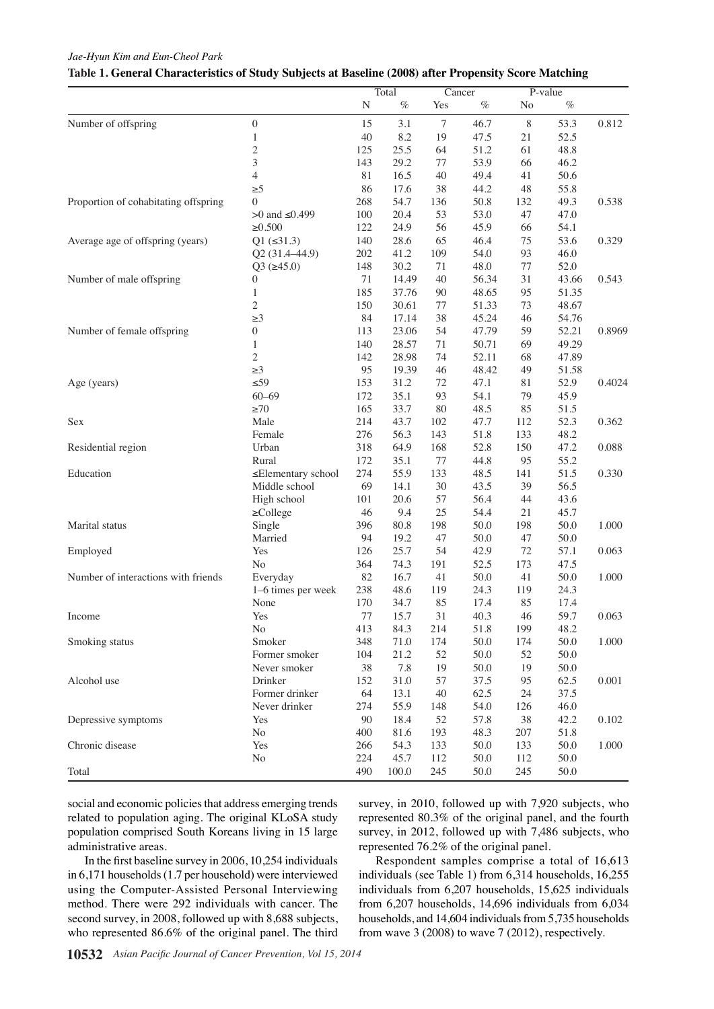#### *Jae-Hyun Kim and Eun-Cheol Park*

#### **Table 1. General Characteristics of Study Subjects at Baseline (2008) after Propensity Score Matching**

|                                      |                            |                      | Total                                                    | Cancer                |              |                   | P-value                                                                  |        |      |              |
|--------------------------------------|----------------------------|----------------------|----------------------------------------------------------|-----------------------|--------------|-------------------|--------------------------------------------------------------------------|--------|------|--------------|
|                                      |                            | N                    | $\%$                                                     | Yes                   | $\%$         | $\rm No$          | $\%$                                                                     |        |      |              |
| Number of offspring                  | $\overline{0}$             | 15                   | 3.1                                                      | $\tau$                | 46.7         | 8                 | 53.3                                                                     | 0.812  |      |              |
|                                      |                            | 40                   | 8.2                                                      | 19                    | 47.5         | $21\,$            | 52.5                                                                     |        |      |              |
|                                      | 2                          | 125                  | 25.5                                                     | 64                    | 51.2         | 61                | 48.8                                                                     |        |      |              |
|                                      | 3                          | 143                  | 29.2                                                     | 77                    | 53.9         | 66                | 46.2                                                                     |        |      |              |
|                                      | 4                          | 81                   | 16.5                                                     | 40                    | 49.4         | 41                | 50.6                                                                     |        |      |              |
|                                      | $\geq 5$                   | 86                   | 17.6                                                     | 38                    | 44.2         | 48                | 55.8                                                                     |        |      |              |
| Proportion of cohabitating offspring | $\theta$                   | 268                  | 54.7                                                     | 136                   | 50.8         | 132               | 49.3                                                                     | 0.538  |      |              |
|                                      | >0 and ≤0.499              | 100.000              | 20.4                                                     | 53                    | 53.0         | 47                | 47.0                                                                     |        |      |              |
|                                      | $\ge 0.500$                | 122                  |                                                          | 56                    | 45.9         | 66                | 54.1                                                                     |        |      |              |
| Average age of offspring (years)     | $Q1$ ( $\leq 31.3$ )       | 140                  | $\frac{24.9}{28.3}$                                      | $65$ <b>10.1</b>      | 46.4         | 75<br>20.3        | 53,6                                                                     | 0.329  |      | 12.8         |
|                                      | Q2 (31.4-44.9)             | 202                  | 41.2                                                     | 109                   | 54.0         | 93                | 46 0                                                                     |        |      |              |
|                                      | $Q3 (=45.0)$               | 75.048               | 30.2                                                     | 71                    | 48.0         | 77                | 25.02 0                                                                  |        | 30.0 |              |
| Number of male offspring             | $\Omega$                   | 71                   | 14.49                                                    | 40                    | 56.34        | 31                | 43 66                                                                    | 0.543  |      |              |
|                                      |                            | 185                  |                                                          | 9046.8                | 48.65        | 95                | 5135                                                                     |        |      | 51.1         |
|                                      | 2                          | 150                  | $\frac{37-76}{30.61}$                                    | 77                    | 51.33        | 73                | 48,67                                                                    |        |      |              |
|                                      | $\geq$ 3                   | 50.084               | 17.14                                                    | 38                    | 45           | 454.2<br>46       | $31.5^{4/76}$                                                            |        |      |              |
| Number of female offspring           | $\Omega$                   | 113                  | 23.06                                                    | 54                    | 47.<br>79    | 59                | 52 21                                                                    | 0.8969 | 30.0 |              |
|                                      |                            | 140                  | 28.57                                                    |                       | 50.7         | 69                | 49 29                                                                    |        |      |              |
|                                      | 2                          | 142                  | 28.98                                                    |                       | 52.          | 68                | 4789                                                                     |        |      |              |
|                                      | $\geq 3$                   | 25.0 <sub>95</sub>   | 19.39                                                    | $\frac{6}{2}$ 38.0    | 48.4         | 49                | 5158                                                                     |        |      |              |
| Age (years)                          | $\leq 59$                  | 153                  | 33123                                                    |                       | 47.          | 81                | 31.529                                                                   | 0.4024 | 30.0 | 33.1         |
|                                      | $60 - 69$                  | 172                  | 35.1                                                     | 93                    | 54.          | 23.7<br>79        | 45 9                                                                     |        |      |              |
|                                      | $\geq 70$                  | $\frac{d^{65}}{214}$ | 33.7                                                     | 80                    | 48.          | 85                | 515                                                                      |        |      |              |
| Sex                                  | Male                       |                      | 43.7                                                     | 102                   | 47.7         | 112               | $\frac{52.3}{948.2}$                                                     | 0.362  |      |              |
|                                      | Female                     | 276                  | $56\overline{5}$                                         | 143                   | 51.8         | recurrence<br>133 |                                                                          |        | None |              |
| Residential region                   | Urban                      | 318                  | $64\frac{8}{9}$                                          | 168                   | 52.8         | 150               | $\frac{100}{2}$<br>$\frac{100}{2}$<br>$\frac{100}{2}$<br>$\frac{100}{2}$ | 0.088  |      |              |
|                                      | Rural                      | 172                  |                                                          | 77                    | 44.8         | 95                |                                                                          |        |      |              |
| Education                            | ≤Elementary school         | 274                  | $35\frac{1}{20}$<br>$35\frac{1}{20}$<br>$14\frac{1}{20}$ | with treatment<br>133 | 48.5         | 141<br>ð          | 51.5                                                                     | 0.330  |      | Chemotherapy |
|                                      | Middle school              | 69                   |                                                          | 30                    | 43.5         | 39                | 56.5                                                                     |        |      |              |
|                                      | High school                | 101                  |                                                          | Newly diagnosed<br>57 | 56.4         | sistence<br>44    | 43.6                                                                     |        |      |              |
|                                      | $\geq$ College             | 46                   |                                                          | 25                    | 54.4         | 21                | 45.7                                                                     |        |      |              |
| Marital status                       | Single                     | 396                  |                                                          | 198                   | 50.0         | è<br>198          | 50.0                                                                     | 1.000  |      |              |
|                                      | Married                    | 94                   |                                                          | 47                    | 50.0         | 47                | 50.0                                                                     |        |      |              |
| Employed                             | Yes                        | 126                  |                                                          | 54                    | 42.9         | $72\,$            | 57.1                                                                     | 0.063  |      |              |
|                                      | No                         | 364<br>82            |                                                          | 191                   | 52.5         | 173               | 47.5                                                                     |        |      |              |
| Number of interactions with friends  | Everyday                   | 238                  | 48.6                                                     | 41<br>119             | 50.0<br>24.3 | 41<br>119         | $50.0\,$<br>24.3                                                         | 1.000  |      |              |
|                                      | 1–6 times per week<br>None | 170                  | 34.7                                                     | 85                    | 17.4         | 85                | 17.4                                                                     |        |      |              |
| Income                               | Yes                        | 77                   | 15.7                                                     | 31                    | 40.3         | 46                | 59.7                                                                     | 0.063  |      |              |
|                                      | $\rm No$                   | 413                  | 84.3                                                     | 214                   | 51.8         | 199               | 48.2                                                                     |        |      |              |
| Smoking status                       | Smoker                     | 348                  | 71.0                                                     | 174                   | 50.0         | 174               | $50.0\,$                                                                 | 1.000  |      |              |
|                                      | Former smoker              | 104                  | 21.2                                                     | 52                    | 50.0         | 52                | $50.0\,$                                                                 |        |      |              |
|                                      | Never smoker               | 38                   | 7.8                                                      | 19                    | 50.0         | 19                | 50.0                                                                     |        |      |              |
| Alcohol use                          | Drinker                    | 152                  | 31.0                                                     | 57                    | 37.5         | 95                | 62.5                                                                     | 0.001  |      |              |
|                                      | Former drinker             | 64                   | 13.1                                                     | 40                    | 62.5         | 24                | 37.5                                                                     |        |      |              |
|                                      | Never drinker              | 274                  | 55.9                                                     | 148                   | 54.0         | 126               | 46.0                                                                     |        |      |              |
| Depressive symptoms                  | Yes                        | 90                   | 18.4                                                     | 52                    | 57.8         | $38\,$            | 42.2                                                                     | 0.102  |      |              |
|                                      | No                         | 400                  | 81.6                                                     | 193                   | 48.3         | 207               | 51.8                                                                     |        |      |              |
| Chronic disease                      | Yes                        | 266                  | 54.3                                                     | 133                   | 50.0         | 133               | 50.0                                                                     | 1.000  |      |              |
|                                      | $\rm No$                   | 224                  | 45.7                                                     | 112                   | 50.0         | 112               | 50.0                                                                     |        |      |              |
| Total                                |                            | 490                  | 100.0                                                    | 245                   | 50.0         | 245               | $50.0\,$                                                                 |        |      |              |
|                                      |                            |                      |                                                          |                       |              |                   |                                                                          |        |      |              |

social and economic policies that address emerging trends related to population aging. The original KLoSA study population comprised South Koreans living in 15 large administrative areas.

survey, in 2010, followed up with 7,920 subjects, who represented 80.3% of the original panel, and the fourth survey, in 2012, followed up with 7,486 subjects, who represented 76.2% of the original panel.

In the first baseline survey in 2006, 10,254 individuals in 6,171 households (1.7 per household) were interviewed using the Computer-Assisted Personal Interviewing method. There were 292 individuals with cancer. The second survey, in 2008, followed up with 8,688 subjects, who represented 86.6% of the original panel. The third

Respondent samples comprise a total of 16,613 individuals (see Table 1) from 6,314 households, 16,255 individuals from 6,207 households, 15,625 individuals from 6,207 households, 14,696 individuals from 6,034 households, and 14,604 individuals from 5,735 households from wave 3 (2008) to wave 7 (2012), respectively.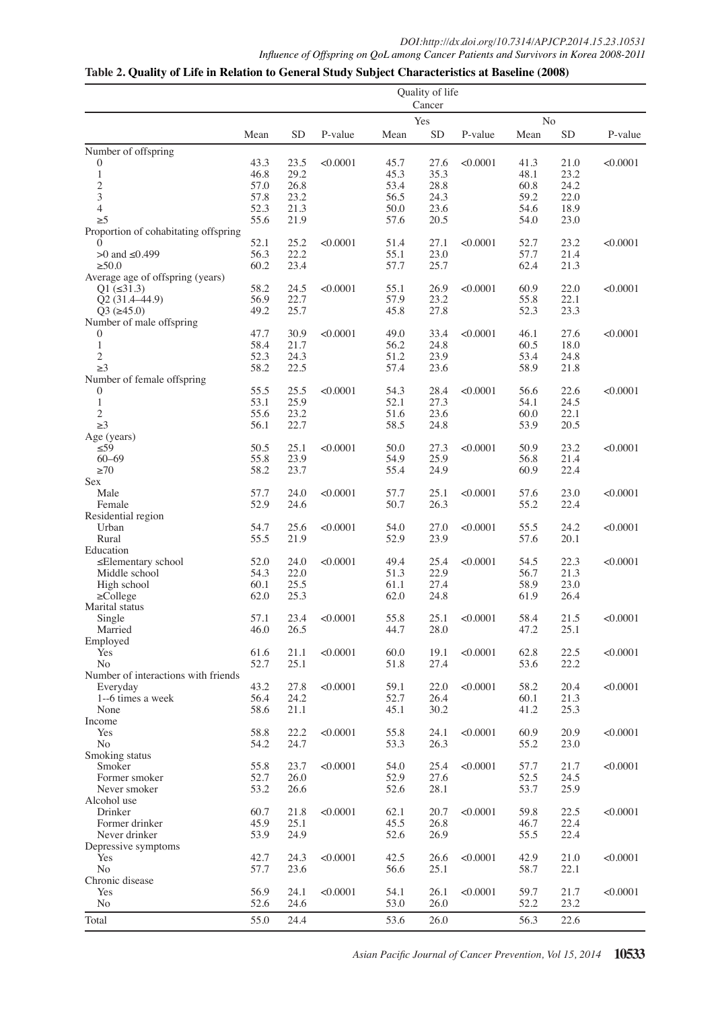### **Table 2. Quality of Life in Relation to General Study Subject Characteristics at Baseline (2008)**

|                                                  | Quality of life<br>Cancer |              |          |              |              |          |              |              |          |
|--------------------------------------------------|---------------------------|--------------|----------|--------------|--------------|----------|--------------|--------------|----------|
|                                                  | Yes<br>No                 |              |          |              |              |          |              |              |          |
|                                                  | Mean                      | <b>SD</b>    | P-value  | Mean         | <b>SD</b>    | P-value  | Mean         | <b>SD</b>    | P-value  |
| Number of offspring                              |                           |              |          |              |              |          |              |              |          |
| $\boldsymbol{0}$                                 | 43.3                      | 23.5         | < 0.0001 | 45.7         | 27.6         | < 0.0001 | 41.3         | 21.0         | < 0.0001 |
| $\mathbf{1}$                                     | 46.8                      | 29.2         |          | 45.3         | 35.3         |          | 48.1         | 23.2         |          |
| $\sqrt{2}$                                       | 57.0                      | 26.8         |          | 53.4         | 28.8         |          | 60.8         | 24.2         |          |
| $\overline{3}$                                   | 57.8                      | 23.2         |          | 56.5         | 24.3         |          | 59.2         | 22.0         |          |
| $\overline{4}$                                   | 52.3                      | 21.3         |          | 50.0         | 23.6         |          | 54.6         | 18.9         |          |
| $\geq 5$<br>Proportion of cohabitating offspring | 55.6                      | 21.9         |          | 57.6         | 20.5         |          | 54.0         | 23.0         |          |
| $\mathbf{0}$                                     | 52.1                      | 25.2         | < 0.0001 | 51.4         | 27.1         | < 0.0001 | 52.7         | 23.2         | < 0.0001 |
| $>0$ and $\leq 0.499$                            | 56.3                      | 22.2         |          | 55.1         | 23.0         |          | 57.7         | 21.4         |          |
| $\geq 50.0$                                      | 60.2                      | 23.4         |          | 57.7         | 25.7         |          | 62.4         | 21.3         |          |
| Average age of offspring (years)                 |                           |              |          |              |              |          |              |              |          |
| $Q1 (\leq 31.3)$                                 | 58.2                      | 24.5         | < 0.0001 | 55.1         | 26.9         | < 0.0001 | 60.9         | 22.0         | < 0.0001 |
| Q2 (31.4-44.9)                                   | 56.9                      | 22.7         |          | 57.9         | 23.2         |          | 55.8         | 22.1         |          |
| $Q3 (=45.0)$<br>Number of male offspring         | 49.2                      | 25.7         |          | 45.8         | 27.8         |          | 52.3         | 23.3         |          |
| $\boldsymbol{0}$                                 | 47.7                      | 30.9         | < 0.0001 | 49.0         | 33.4         | < 0.0001 | 46.1         | 27.6         | < 0.0001 |
| $\mathbf{1}$                                     | 58.4                      | 21.7         |          | 56.2         | 24.8         |          | 60.5         | 18.0         |          |
| $\sqrt{2}$                                       | 52.3                      | 24.3         |          | 51.2         | 23.9         |          | 53.4         | 24.8         |          |
| $\geq$ 3                                         | 58.2                      | 22.5         |          | 57.4         | 23.6         |          | 58.9         | 21.8         |          |
| Number of female offspring                       |                           |              |          |              |              |          |              |              |          |
| $\mathbf{0}$                                     | 55.5                      | 25.5         | < 0.0001 | 54.3         | 28.4         | < 0.0001 | 56.6         | 22.6         | < 0.0001 |
| $\mathbf{1}$                                     | 53.1<br>55.6              | 25.9<br>23.2 |          | 52.1<br>51.6 | 27.3<br>23.6 |          | 54.1<br>60.0 | 24.5<br>22.1 |          |
| $\overline{c}$<br>$\geq$ 3                       | 56.1                      | 22.7         |          | 58.5         | 24.8         |          | 53.9         | 20.5         |          |
| Age (years)                                      |                           |              |          |              |              |          |              |              |          |
| $\leq 59$                                        | 50.5                      | 25.1         | < 0.0001 | 50.0         | 27.3         | < 0.0001 | 50.9         | 23.2         | < 0.0001 |
| $60 - 69$                                        | 55.8                      | 23.9         |          | 54.9         | 25.9         |          | 56.8         | 21.4         |          |
| $\geq 70$                                        | 58.2                      | 23.7         |          | 55.4         | 24.9         |          | 60.9         | 22.4         |          |
| Sex                                              |                           |              |          |              |              |          |              |              |          |
| Male                                             | 57.7<br>52.9              | 24.0         | < 0.0001 | 57.7         | 25.1<br>26.3 | < 0.0001 | 57.6<br>55.2 | 23.0         | < 0.0001 |
| Female<br>Residential region                     |                           | 24.6         |          | 50.7         |              |          |              | 22.4         |          |
| Urban                                            | 54.7                      | 25.6         | < 0.0001 | 54.0         | 27.0         | < 0.0001 | 55.5         | 24.2         | < 0.0001 |
| Rural                                            | 55.5                      | 21.9         |          | 52.9         | 23.9         |          | 57.6         | 20.1         |          |
| Education                                        |                           |              |          |              |              |          |              |              |          |
| $\leq$ Elementary school                         | 52.0                      | 24.0         | < 0.0001 | 49.4         | 25.4         | < 0.0001 | 54.5         | 22.3         | < 0.0001 |
| Middle school                                    | 54.3                      | 22.0         |          | 51.3         | 22.9         |          | 56.7         | 21.3         |          |
| High school                                      | 60.1                      | 25.5         |          | 61.1         | 27.4         |          | 58.9<br>61.9 | 23.0<br>26.4 |          |
| $\geq$ College<br>Marital status                 | 62.0                      | 25.3         |          | 62.0         | 24.8         |          |              |              |          |
|                                                  | 57.1                      | 23.4         | < 0.0001 | 55.8         | 25.1         | <0.0001  | 58.4         | 21.5         | <0.0001  |
| Single<br>Married                                | 46.0                      | 26.5         |          | 44.7         | 28.0         |          | 47.2         | 25.1         |          |
| Employed                                         |                           |              |          |              |              |          |              |              |          |
| Yes                                              | 61.6                      | 21.1         | < 0.0001 | 60.0         | 19.1         | < 0.0001 | 62.8         | 22.5         | < 0.0001 |
| N <sub>o</sub>                                   | 52.7                      | 25.1         |          | 51.8         | 27.4         |          | 53.6         | 22.2         |          |
| Number of interactions with friends              | 43.2                      | 27.8         |          |              | 22.0         |          | 58.2         | 20.4         |          |
| Everyday<br>1--6 times a week                    | 56.4                      | 24.2         | < 0.0001 | 59.1<br>52.7 | 26.4         | < 0.0001 | 60.1         | 21.3         | < 0.0001 |
| None                                             | 58.6                      | 21.1         |          | 45.1         | 30.2         |          | 41.2         | 25.3         |          |
| Income                                           |                           |              |          |              |              |          |              |              |          |
| Yes                                              | 58.8                      | 22.2         | < 0.0001 | 55.8         | 24.1         | < 0.0001 | 60.9         | 20.9         | < 0.0001 |
| N <sub>o</sub>                                   | 54.2                      | 24.7         |          | 53.3         | 26.3         |          | 55.2         | 23.0         |          |
| Smoking status                                   |                           |              |          |              |              |          |              |              |          |
| Smoker                                           | 55.8<br>52.7              | 23.7<br>26.0 | < 0.0001 | 54.0<br>52.9 | 25.4<br>27.6 | < 0.0001 | 57.7<br>52.5 | 21.7<br>24.5 | < 0.0001 |
| Former smoker<br>Never smoker                    | 53.2                      | 26.6         |          | 52.6         | 28.1         |          | 53.7         | 25.9         |          |
| Alcohol use                                      |                           |              |          |              |              |          |              |              |          |
| Drinker                                          | 60.7                      | 21.8         | < 0.0001 | 62.1         | 20.7         | < 0.0001 | 59.8         | 22.5         | < 0.0001 |
| Former drinker                                   | 45.9                      | 25.1         |          | 45.5         | 26.8         |          | 46.7         | 22.4         |          |
| Never drinker                                    | 53.9                      | 24.9         |          | 52.6         | 26.9         |          | 55.5         | 22.4         |          |
| Depressive symptoms                              |                           |              |          |              |              |          |              |              |          |
| Yes<br>No                                        | 42.7<br>57.7              | 24.3<br>23.6 | < 0.0001 | 42.5<br>56.6 | 26.6<br>25.1 | < 0.0001 | 42.9<br>58.7 | 21.0<br>22.1 | < 0.0001 |
| Chronic disease                                  |                           |              |          |              |              |          |              |              |          |
| Yes                                              | 56.9                      | 24.1         | < 0.0001 | 54.1         | 26.1         | < 0.0001 | 59.7         | 21.7         | < 0.0001 |
| $\rm No$                                         | 52.6                      | 24.6         |          | 53.0         | 26.0         |          | 52.2         | 23.2         |          |
| Total                                            | 55.0                      | 24.4         |          | 53.6         | 26.0         |          | 56.3         | 22.6         |          |
|                                                  |                           |              |          |              |              |          |              |              |          |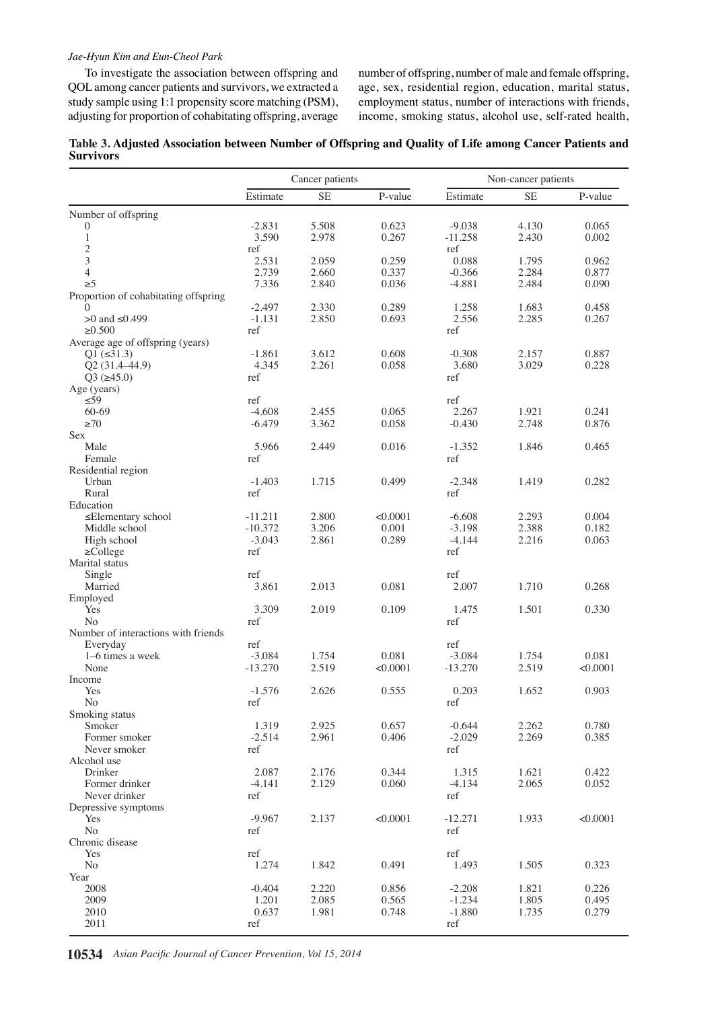#### *Jae-Hyun Kim and Eun-Cheol Park*

To investigate the association between offspring and QOL among cancer patients and survivors, we extracted a study sample using 1:1 propensity score matching (PSM), adjusting for proportion of cohabitating offspring, average number of offspring, number of male and female offspring, age, sex, residential region, education, marital status, employment status, number of interactions with friends, income, smoking status, alcohol use, self-rated health,

| Table 3. Adjusted Association between Number of Offspring and Quality of Life among Cancer Patients and |  |  |
|---------------------------------------------------------------------------------------------------------|--|--|
| <b>Survivors</b>                                                                                        |  |  |

|                                      | Cancer patients |                |                | Non-cancer patients  |                |                |  |
|--------------------------------------|-----------------|----------------|----------------|----------------------|----------------|----------------|--|
|                                      | Estimate        | <b>SE</b>      | P-value        | Estimate             | <b>SE</b>      | P-value        |  |
| Number of offspring                  |                 |                |                |                      |                |                |  |
| $\boldsymbol{0}$                     | $-2.831$        | 5.508          | 0.623          | $-9.038$             | 4.130          | 0.065          |  |
| $\mathbf{1}$                         | 3.590           | 2.978          | 0.267          | $-11.258$            | 2.430          | 0.002          |  |
| $\overline{\mathbf{c}}$              | ref             |                |                | ref                  |                |                |  |
| 3                                    | 2.531           | 2.059          | 0.259          | 0.088                | 1.795          | 0.962          |  |
| $\overline{4}$<br>$\geq 5$           | 2.739<br>7.336  | 2.660<br>2.840 | 0.337<br>0.036 | $-0.366$<br>$-4.881$ | 2.284<br>2.484 | 0.877<br>0.090 |  |
| Proportion of cohabitating offspring |                 |                |                |                      |                |                |  |
| $\Omega$                             | $-2.497$        | 2.330          | 0.289          | 1.258                | 1.683          | 0.458          |  |
| $>0$ and $\leq 0.499$                | $-1.131$        | 2.850          | 0.693          | 2.556                | 2.285          | 0.267          |  |
| $\ge 0.500$                          | ref             |                |                | ref                  |                |                |  |
| Average age of offspring (years)     |                 |                |                |                      |                |                |  |
| $Q1 (\leq 31.3)$                     | $-1.861$        | 3.612          | 0.608          | $-0.308$             | 2.157          | 0.887          |  |
| Q2 (31.4-44.9)                       | 4.345           | 2.261          | 0.058          | 3.680                | 3.029          | 0.228          |  |
| $Q3 (=45.0)$                         | ref             |                |                | ref                  |                |                |  |
| Age (years)<br>$\leq 59$             | ref             |                |                | ref                  |                |                |  |
| 60-69                                | $-4.608$        | 2.455          | 0.065          | 2.267                | 1.921          | 0.241          |  |
| $\geq 70$                            | $-6.479$        | 3.362          | 0.058          | $-0.430$             | 2.748          | 0.876          |  |
| Sex                                  |                 |                |                |                      |                |                |  |
| Male                                 | 5.966           | 2.449          | 0.016          | $-1.352$             | 1.846          | 0.465          |  |
| Female                               | ref             |                |                | ref                  |                |                |  |
| Residential region                   |                 |                |                |                      |                |                |  |
| Urban<br>Rural                       | $-1.403$<br>ref | 1.715          | 0.499          | $-2.348$<br>ref      | 1.419          | 0.282          |  |
| Education                            |                 |                |                |                      |                |                |  |
| ≤Elementary school                   | $-11.211$       | 2.800          | < 0.0001       | $-6.608$             | 2.293          | 0.004          |  |
| Middle school                        | $-10.372$       | 3.206          | 0.001          | $-3.198$             | 2.388          | 0.182          |  |
| High school                          | $-3.043$        | 2.861          | 0.289          | $-4.144$             | 2.216          | 0.063          |  |
| $\geq$ College                       | ref             |                |                | ref                  |                |                |  |
| Marital status                       |                 |                |                |                      |                |                |  |
| Single                               | ref             |                |                | ref                  |                |                |  |
| Married                              | 3.861           | 2.013          | 0.081          | 2.007                | 1.710          | 0.268          |  |
| Employed<br>Yes                      | 3.309           | 2.019          | 0.109          | 1.475                | 1.501          | 0.330          |  |
| N <sub>0</sub>                       | ref             |                |                | ref                  |                |                |  |
| Number of interactions with friends  |                 |                |                |                      |                |                |  |
| Everyday                             | ref             |                |                | ref                  |                |                |  |
| 1–6 times a week                     | $-3.084$        | 1.754          | 0.081          | $-3.084$             | 1.754          | 0.081          |  |
| None                                 | $-13.270$       | 2.519          | < 0.0001       | $-13.270$            | 2.519          | < 0.0001       |  |
| Income                               |                 |                |                |                      |                |                |  |
| Yes                                  | $-1.576$        | 2.626          | 0.555          | 0.203                | 1.652          | 0.903          |  |
| N <sub>o</sub><br>Smoking status     | ref             |                |                | ref                  |                |                |  |
| Smoker                               | 1.319           | 2.925          | 0.657          | $-0.644$             | 2.262          | 0.780          |  |
| Former smoker                        | $-2.514$        | 2.961          | 0.406          | $-2.029$             | 2.269          | 0.385          |  |
| Never smoker                         | ref             |                |                | ref                  |                |                |  |
| Alcohol use                          |                 |                |                |                      |                |                |  |
| Drinker                              | 2.087           | 2.176          | 0.344          | 1.315                | 1.621          | 0.422          |  |
| Former drinker                       | $-4.141$        | 2.129          | 0.060          | $-4.134$             | 2.065          | 0.052          |  |
| Never drinker                        | ref             |                |                | ref                  |                |                |  |
| Depressive symptoms<br>Yes           | $-9.967$        | 2.137          | < 0.0001       | $-12.271$            | 1.933          | < 0.0001       |  |
| N <sub>o</sub>                       | ref             |                |                | ref                  |                |                |  |
| Chronic disease                      |                 |                |                |                      |                |                |  |
| Yes                                  | ref             |                |                | ref                  |                |                |  |
| N <sub>o</sub>                       | 1.274           | 1.842          | 0.491          | 1.493                | 1.505          | 0.323          |  |
| Year                                 |                 |                |                |                      |                |                |  |
| 2008                                 | $-0.404$        | 2.220          | 0.856          | $-2.208$             | 1.821          | 0.226          |  |
| 2009                                 | 1.201           | 2.085          | 0.565          | $-1.234$             | 1.805          | 0.495          |  |
| 2010                                 | 0.637           | 1.981          | 0.748          | $-1.880$             | 1.735          | 0.279          |  |
| 2011                                 | ref             |                |                | ref                  |                |                |  |

**10534** *Asian Pacific Journal of Cancer Prevention, Vol 15, 2014*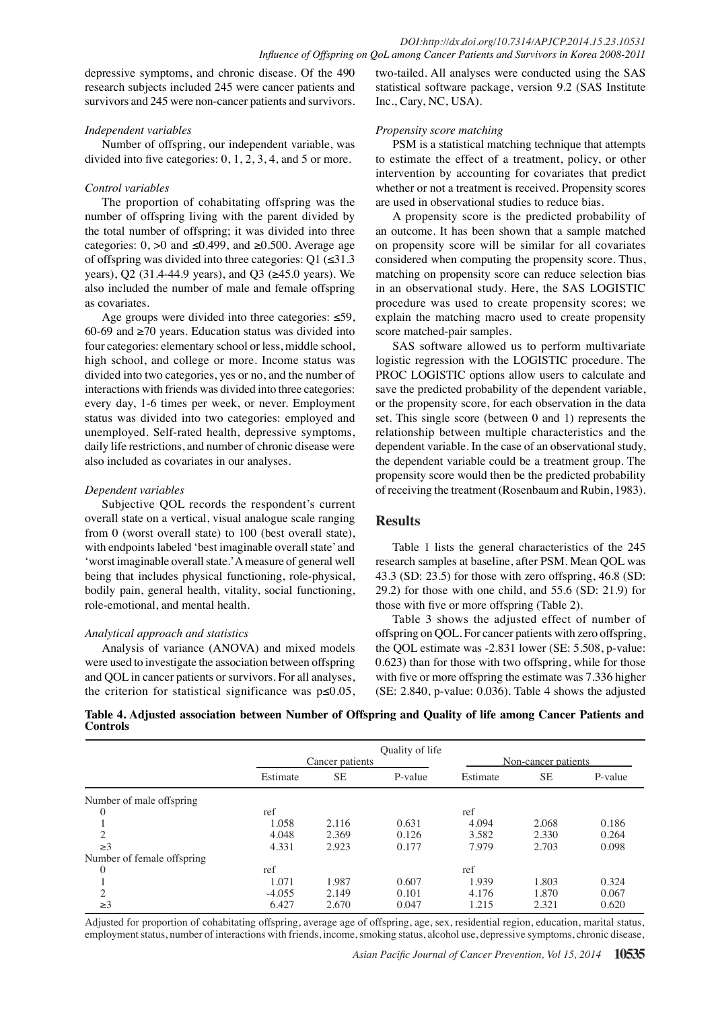depressive symptoms, and chronic disease. Of the 490 research subjects included 245 were cancer patients and survivors and 245 were non-cancer patients and survivors.

#### *Independent variables*

Number of offspring, our independent variable, was divided into five categories: 0, 1, 2, 3, 4, and 5 or more.

#### *Control variables*

The proportion of cohabitating offspring was the number of offspring living with the parent divided by the total number of offspring; it was divided into three categories:  $0, >0$  and ≤0.499, and ≥0.500. Average age of offspring was divided into three categories:  $Q1$  ( $\leq 31.3$ ) years), Q2 (31.4-44.9 years), and Q3 (≥45.0 years). We also included the number of male and female offspring as covariates.

Age groups were divided into three categories: ≤59, 60-69 and  $≥70$  years. Education status was divided into four categories: elementary school or less, middle school, high school, and college or more. Income status was divided into two categories, yes or no, and the number of interactions with friends was divided into three categories: every day, 1-6 times per week, or never. Employment status was divided into two categories: employed and unemployed. Self-rated health, depressive symptoms, daily life restrictions, and number of chronic disease were also included as covariates in our analyses.

#### *Dependent variables*

Subjective QOL records the respondent's current overall state on a vertical, visual analogue scale ranging from 0 (worst overall state) to 100 (best overall state), with endpoints labeled 'best imaginable overall state' and 'worst imaginable overall state.' A measure of general well being that includes physical functioning, role-physical, bodily pain, general health, vitality, social functioning, role-emotional, and mental health.

#### *Analytical approach and statistics*

Analysis of variance (ANOVA) and mixed models were used to investigate the association between offspring and QOL in cancer patients or survivors. For all analyses, the criterion for statistical significance was  $p \le 0.05$ ,

two-tailed. All analyses were conducted using the SAS statistical software package, version 9.2 (SAS Institute Inc., Cary, NC, USA).

#### *Propensity score matching*

PSM is a statistical matching technique that attempts to estimate the effect of a treatment, policy, or other intervention by accounting for covariates that predict whether or not a treatment is received. Propensity scores are used in observational studies to reduce bias.

A propensity score is the predicted probability of an outcome. It has been shown that a sample matched on propensity score will be similar for all covariates considered when computing the propensity score. Thus, matching on propensity score can reduce selection bias in an observational study. Here, the SAS LOGISTIC procedure was used to create propensity scores; we explain the matching macro used to create propensity score matched-pair samples.

SAS software allowed us to perform multivariate logistic regression with the LOGISTIC procedure. The PROC LOGISTIC options allow users to calculate and save the predicted probability of the dependent variable, or the propensity score, for each observation in the data set. This single score (between 0 and 1) represents the relationship between multiple characteristics and the dependent variable. In the case of an observational study, the dependent variable could be a treatment group. The propensity score would then be the predicted probability of receiving the treatment (Rosenbaum and Rubin, 1983).

#### **Results**

Table 1 lists the general characteristics of the 245 research samples at baseline, after PSM. Mean QOL was 43.3 (SD: 23.5) for those with zero offspring, 46.8 (SD: 29.2) for those with one child, and 55.6 (SD: 21.9) for those with five or more offspring (Table 2).

Table 3 shows the adjusted effect of number of offspring on QOL. For cancer patients with zero offspring, the QOL estimate was -2.831 lower (SE: 5.508, p-value: 0.623) than for those with two offspring, while for those with five or more offspring the estimate was 7.336 higher (SE: 2.840, p-value: 0.036). Table 4 shows the adjusted

**Table 4. Adjusted association between Number of Offspring and Quality of life among Cancer Patients and Controls**

|                            | Quality of life<br>Cancer patients |           |         | Non-cancer patients |           |         |  |
|----------------------------|------------------------------------|-----------|---------|---------------------|-----------|---------|--|
|                            | Estimate                           | <b>SE</b> | P-value | Estimate            | <b>SE</b> | P-value |  |
| Number of male offspring   |                                    |           |         |                     |           |         |  |
| $\mathbf{0}$               | ref                                |           |         | ref                 |           |         |  |
|                            | 1.058                              | 2.116     | 0.631   | 4.094               | 2.068     | 0.186   |  |
| $\overline{2}$             | 4.048                              | 2.369     | 0.126   | 3.582               | 2.330     | 0.264   |  |
| $\geq$ 3                   | 4.331                              | 2.923     | 0.177   | 7.979               | 2.703     | 0.098   |  |
| Number of female offspring |                                    |           |         |                     |           |         |  |
| $\mathbf{0}$               | ref                                |           |         | ref                 |           |         |  |
|                            | 1.071                              | 1.987     | 0.607   | 1.939               | 1.803     | 0.324   |  |
| $\overline{c}$             | $-4.055$                           | 2.149     | 0.101   | 4.176               | 1.870     | 0.067   |  |
| $\geq$ 3                   | 6.427                              | 2.670     | 0.047   | 1.215               | 2.321     | 0.620   |  |

Adjusted for proportion of cohabitating offspring, average age of offspring, age, sex, residential region, education, marital status, employment status, number of interactions with friends, income, smoking status, alcohol use, depressive symptoms, chronic disease,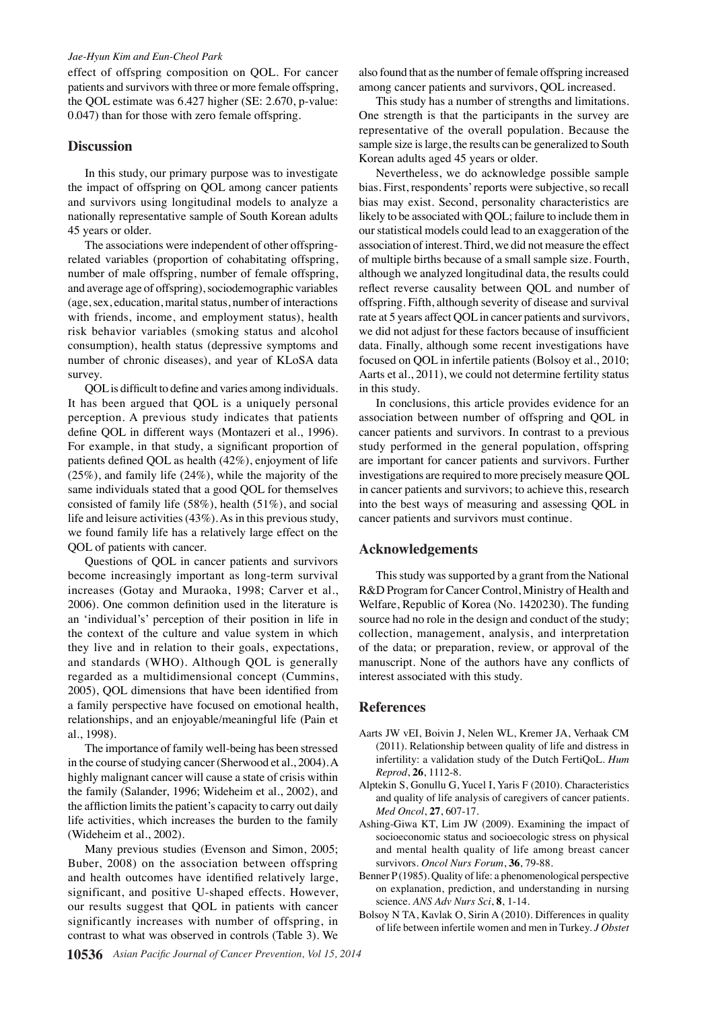#### *Jae-Hyun Kim and Eun-Cheol Park*

effect of offspring composition on QOL. For cancer patients and survivors with three or more female offspring, the QOL estimate was 6.427 higher (SE: 2.670, p-value: 0.047) than for those with zero female offspring.

#### **Discussion**

In this study, our primary purpose was to investigate the impact of offspring on QOL among cancer patients and survivors using longitudinal models to analyze a nationally representative sample of South Korean adults 45 years or older.

The associations were independent of other offspringrelated variables (proportion of cohabitating offspring, number of male offspring, number of female offspring, and average age of offspring), sociodemographic variables (age, sex, education, marital status, number of interactions with friends, income, and employment status), health risk behavior variables (smoking status and alcohol consumption), health status (depressive symptoms and number of chronic diseases), and year of KLoSA data survey.

QOL is difficult to define and varies among individuals. It has been argued that QOL is a uniquely personal perception. A previous study indicates that patients define QOL in different ways (Montazeri et al., 1996). For example, in that study, a significant proportion of patients defined QOL as health (42%), enjoyment of life (25%), and family life (24%), while the majority of the same individuals stated that a good QOL for themselves consisted of family life (58%), health (51%), and social life and leisure activities (43%). As in this previous study, we found family life has a relatively large effect on the QOL of patients with cancer.

Questions of QOL in cancer patients and survivors become increasingly important as long-term survival increases (Gotay and Muraoka, 1998; Carver et al., 2006). One common definition used in the literature is an 'individual's' perception of their position in life in the context of the culture and value system in which they live and in relation to their goals, expectations, and standards (WHO). Although QOL is generally regarded as a multidimensional concept (Cummins, 2005), QOL dimensions that have been identified from a family perspective have focused on emotional health, relationships, and an enjoyable/meaningful life (Pain et al., 1998).

The importance of family well-being has been stressed in the course of studying cancer (Sherwood et al., 2004). A highly malignant cancer will cause a state of crisis within the family (Salander, 1996; Wideheim et al., 2002), and the affliction limits the patient's capacity to carry out daily life activities, which increases the burden to the family (Wideheim et al., 2002).

Many previous studies (Evenson and Simon, 2005; Buber, 2008) on the association between offspring and health outcomes have identified relatively large, significant, and positive U-shaped effects. However, our results suggest that QOL in patients with cancer significantly increases with number of offspring, in contrast to what was observed in controls (Table 3). We

also found that as the number of female offspring increased among cancer patients and survivors, QOL increased.

This study has a number of strengths and limitations. One strength is that the participants in the survey are representative of the overall population. Because the sample size is large, the results can be generalized to South Korean adults aged 45 years or older.

Nevertheless, we do acknowledge possible sample bias. First, respondents' reports were subjective, so recall bias may exist. Second, personality characteristics are likely to be associated with QOL; failure to include them in our statistical models could lead to an exaggeration of the association of interest. Third, we did not measure the effect of multiple births because of a small sample size. Fourth, although we analyzed longitudinal data, the results could reflect reverse causality between QOL and number of offspring. Fifth, although severity of disease and survival rate at 5 years affect QOL in cancer patients and survivors, we did not adjust for these factors because of insufficient data. Finally, although some recent investigations have focused on QOL in infertile patients (Bolsoy et al., 2010; Aarts et al., 2011), we could not determine fertility status in this study.

In conclusions, this article provides evidence for an association between number of offspring and QOL in cancer patients and survivors. In contrast to a previous study performed in the general population, offspring are important for cancer patients and survivors. Further investigations are required to more precisely measure QOL in cancer patients and survivors; to achieve this, research into the best ways of measuring and assessing QOL in cancer patients and survivors must continue.

#### **Acknowledgements**

This study was supported by a grant from the National R&D Program for Cancer Control, Ministry of Health and Welfare, Republic of Korea (No. 1420230). The funding source had no role in the design and conduct of the study; collection, management, analysis, and interpretation of the data; or preparation, review, or approval of the manuscript. None of the authors have any conflicts of interest associated with this study.

#### **References**

- Aarts JW vEI, Boivin J, Nelen WL, Kremer JA, Verhaak CM (2011). Relationship between quality of life and distress in infertility: a validation study of the Dutch FertiQoL. *Hum Reprod*, **26**, 1112-8.
- Alptekin S, Gonullu G, Yucel I, Yaris F (2010). Characteristics and quality of life analysis of caregivers of cancer patients. *Med Oncol*, **27**, 607-17.
- Ashing-Giwa KT, Lim JW (2009). Examining the impact of socioeconomic status and socioecologic stress on physical and mental health quality of life among breast cancer survivors. *Oncol Nurs Forum*, **36**, 79-88.
- Benner P(1985). Quality of life: a phenomenological perspective on explanation, prediction, and understanding in nursing science. *ANS Adv Nurs Sci*, **8**, 1-14.
- Bolsoy N TA, Kavlak O, Sirin A (2010). Differences in quality of life between infertile women and men in Turkey. *J Obstet*